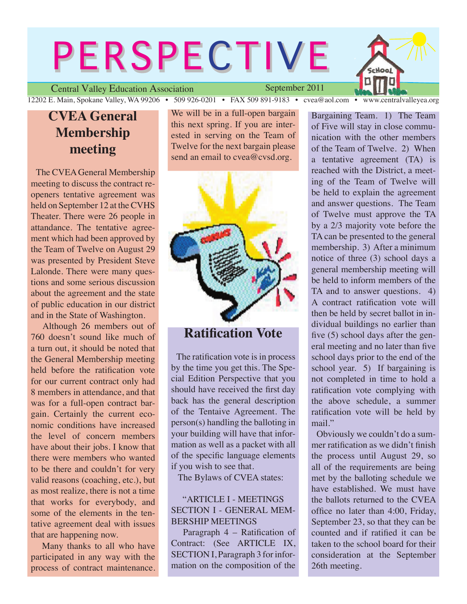# **PERSPECTIVE**



Central Valley Education Association 12202 E. Main, Spokane Valley, WA 99206 • 509 926-0201 • FAX 509 891-9183 • cvea@aol.com • www.centralvalleyea.org

## **CVEA General Membership meeting**

 The CVEA General Membership meeting to discuss the contract reopeners tentative agreement was held on September 12 at the CVHS Theater. There were 26 people in attandance. The tentative agreement which had been approved by the Team of Twelve on August 29 was presented by President Steve Lalonde. There were many questions and some serious discussion about the agreement and the state of public education in our district and in the State of Washington.

 Although 26 members out of 760 doesn't sound like much of a turn out, it should be noted that the General Membership meeting held before the ratification vote for our current contract only had 8 members in attendance, and that was for a full-open contract bargain. Certainly the current economic conditions have increased the level of concern members have about their jobs. I know that there were members who wanted to be there and couldn't for very valid reasons (coaching, etc.), but as most realize, there is not a time that works for everybody, and some of the elements in the tentative agreement deal with issues that are happening now.

 Many thanks to all who have participated in any way with the process of contract maintenance. We will be in a full-open bargain this next spring. If you are interested in serving on the Team of Twelve for the next bargain please send an email to cvea@cvsd.org.

September 2011



## **Ratification Vote**

 The ratification vote is in process by the time you get this. The Special Edition Perspective that you should have received the first day back has the general description of the Tentaive Agreement. The person(s) handling the balloting in your building will have that information as well as a packet with all of the specific language elements if you wish to see that.

The Bylaws of CVEA states:

#### "ARTICLE I - MEETINGS SECTION I - GENERAL MEM-BERSHIP MEETINGS

 Paragraph 4 – Ratification of Contract: (See ARTICLE IX, SECTION I, Paragraph 3 for information on the composition of the Bargaining Team. 1) The Team of Five will stay in close communication with the other members of the Team of Twelve. 2) When a tentative agreement (TA) is reached with the District, a meeting of the Team of Twelve will be held to explain the agreement and answer questions. The Team of Twelve must approve the TA by a 2/3 majority vote before the TA can be presented to the general membership. 3) After a minimum notice of three (3) school days a general membership meeting will be held to inform members of the TA and to answer questions. 4) A contract ratification vote will then be held by secret ballot in individual buildings no earlier than five (5) school days after the general meeting and no later than five school days prior to the end of the school year. 5) If bargaining is not completed in time to hold a ratification vote complying with the above schedule, a summer ratification vote will be held by mail."

 Obviously we couldn't do a summer ratification as we didn't finish the process until August 29, so all of the requirements are being met by the balloting schedule we have established. We must have the ballots returned to the CVEA office no later than 4:00, Friday, September 23, so that they can be counted and if ratified it can be taken to the school board for their consideration at the September 26th meeting.